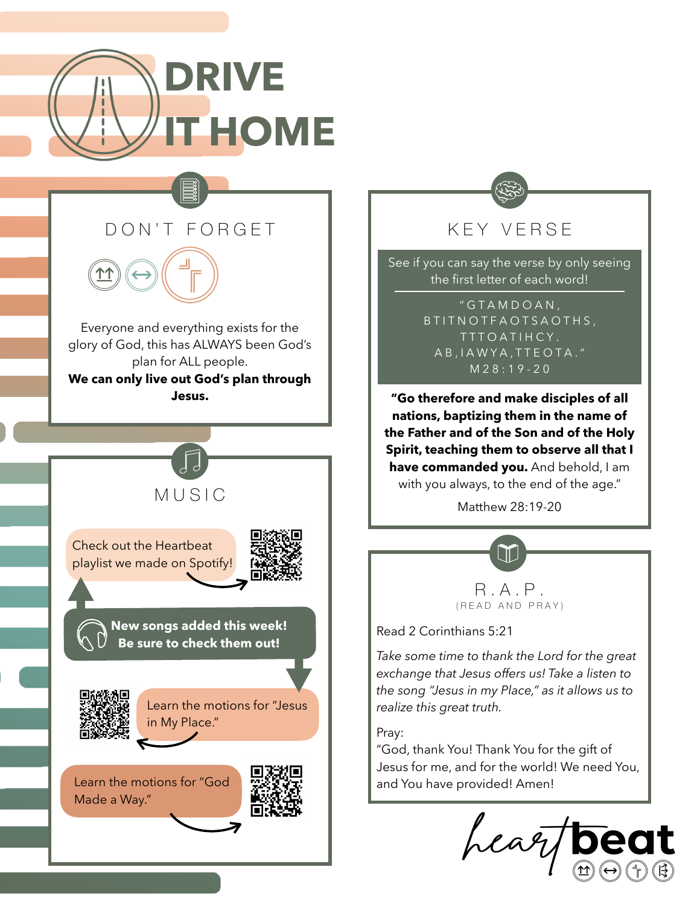